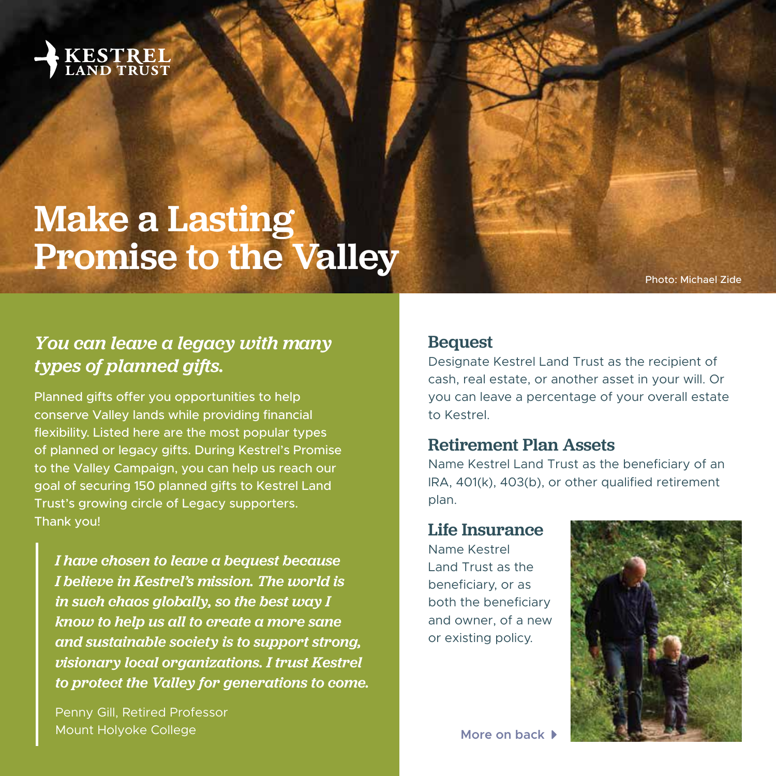

# Make a Lasting Promise to the Valley

Photo: Michael Zide

## *You can leave a legacy with many types of planned gifts.*

Planned gifts offer you opportunities to help conserve Valley lands while providing financial flexibility. Listed here are the most popular types of planned or legacy gifts. During Kestrel's Promise to the Valley Campaign, you can help us reach our goal of securing 150 planned gifts to Kestrel Land Trust's growing circle of Legacy supporters. Thank you!

*I have chosen to leave a bequest because I believe in Kestrel's mission. The world is in such chaos globally, so the best way I know to help us all to create a more sane and sustainable society is to support strong, visionary local organizations. I trust Kestrel to protect the Valley for generations to come.*

Penny Gill, Retired Professor **Mount Holyoke College** *More on back* CARET-RIGHT CARET-RIGHT CARET-RIGHT CARET-RIGHT CARET-RIGHT CARET-RIGHT CARET

#### Bequest

Designate Kestrel Land Trust as the recipient of cash, real estate, or another asset in your will. Or you can leave a percentage of your overall estate to Kestrel.

#### Retirement Plan Assets

Name Kestrel Land Trust as the beneficiary of an IRA, 401(k), 403(b), or other qualified retirement plan.

#### Life Insurance

Name Kestrel Land Trust as the beneficiary, or as both the beneficiary and owner, of a new or existing policy.